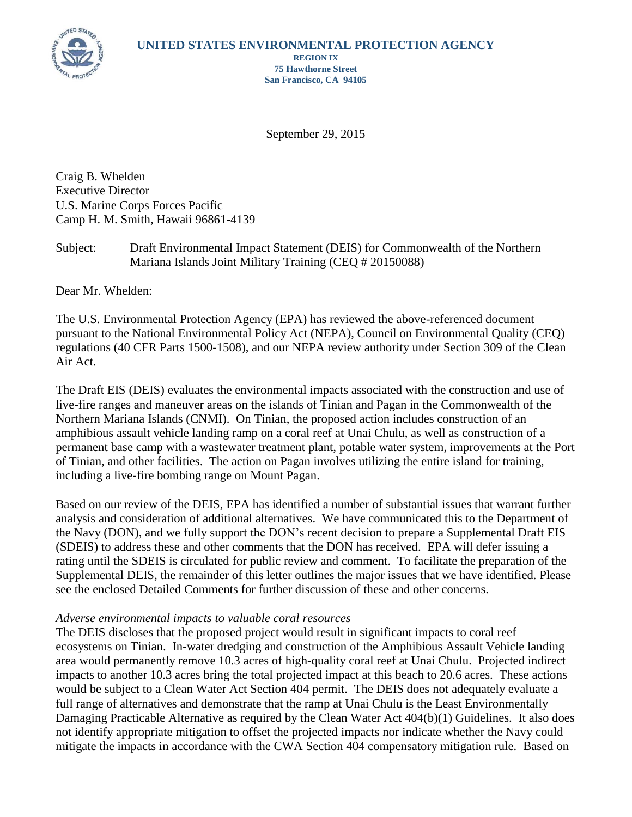

**REGION IX 75 Hawthorne Street San Francisco, CA 94105**

September 29, 2015

Craig B. Whelden Executive Director U.S. Marine Corps Forces Pacific Camp H. M. Smith, Hawaii 96861-4139

Subject: Draft Environmental Impact Statement (DEIS) for Commonwealth of the Northern Mariana Islands Joint Military Training (CEQ # 20150088)

Dear Mr. Whelden:

The U.S. Environmental Protection Agency (EPA) has reviewed the above-referenced document pursuant to the National Environmental Policy Act (NEPA), Council on Environmental Quality (CEQ) regulations (40 CFR Parts 1500-1508), and our NEPA review authority under Section 309 of the Clean Air Act.

The Draft EIS (DEIS) evaluates the environmental impacts associated with the construction and use of live-fire ranges and maneuver areas on the islands of Tinian and Pagan in the Commonwealth of the Northern Mariana Islands (CNMI). On Tinian, the proposed action includes construction of an amphibious assault vehicle landing ramp on a coral reef at Unai Chulu, as well as construction of a permanent base camp with a wastewater treatment plant, potable water system, improvements at the Port of Tinian, and other facilities. The action on Pagan involves utilizing the entire island for training, including a live-fire bombing range on Mount Pagan.

Based on our review of the DEIS, EPA has identified a number of substantial issues that warrant further analysis and consideration of additional alternatives. We have communicated this to the Department of the Navy (DON), and we fully support the DON's recent decision to prepare a Supplemental Draft EIS (SDEIS) to address these and other comments that the DON has received. EPA will defer issuing a rating until the SDEIS is circulated for public review and comment. To facilitate the preparation of the Supplemental DEIS, the remainder of this letter outlines the major issues that we have identified. Please see the enclosed Detailed Comments for further discussion of these and other concerns.

## *Adverse environmental impacts to valuable coral resources*

The DEIS discloses that the proposed project would result in significant impacts to coral reef ecosystems on Tinian. In-water dredging and construction of the Amphibious Assault Vehicle landing area would permanently remove 10.3 acres of high-quality coral reef at Unai Chulu. Projected indirect impacts to another 10.3 acres bring the total projected impact at this beach to 20.6 acres. These actions would be subject to a Clean Water Act Section 404 permit. The DEIS does not adequately evaluate a full range of alternatives and demonstrate that the ramp at Unai Chulu is the Least Environmentally Damaging Practicable Alternative as required by the Clean Water Act 404(b)(1) Guidelines. It also does not identify appropriate mitigation to offset the projected impacts nor indicate whether the Navy could mitigate the impacts in accordance with the CWA Section 404 compensatory mitigation rule. Based on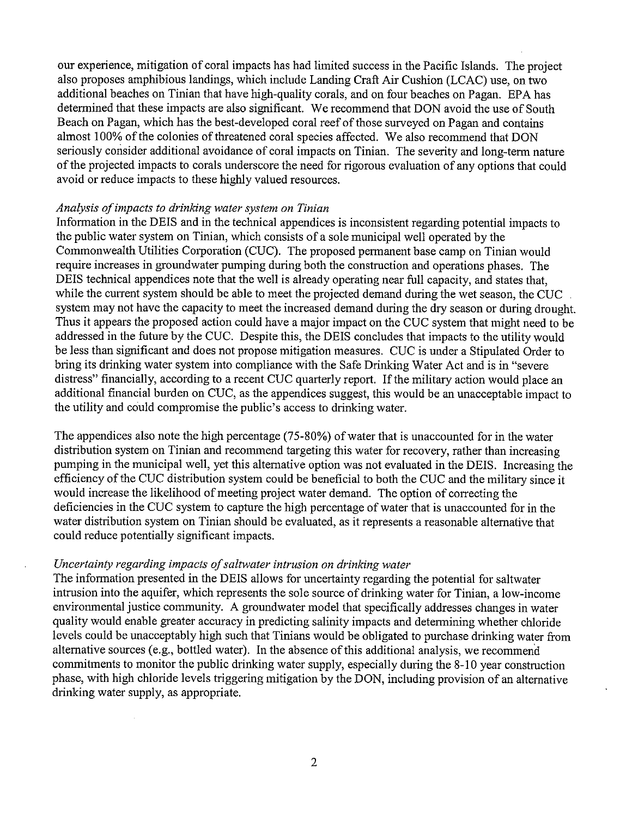our experience, mitigation of coral impacts has had limited success in the Pacific Islands. The project also proposes amphibious landings, which include Landing Craft Air Cushion (LCAC) use, on two additional beaches on Tinian that have high-quality corals, and on four beaches on Pagan. EPA has determined that these impacts are also significant. We recommend that DON avoid the use of South Beach on Pagan, which has the best-developed coral reef of those surveyed on Pagan and contains almost 100% of the colonies of threatened coral species affected. We also recommend that DON seriously consider additional avoidance of coral impacts on Tinian. The severity and long-term nature of the projected impacts to corals underscore the need for rigorous evaluation of any options that could avoid or reduce impacts to these highly valued resources.

#### Analysis of impacts to drinking water system on Tinian

Information in the DEIS and in the technical appendices is inconsistent regarding potential impacts to the public water system on Tinian, which consists of a sole municipal well operated by the Commonwealth Utilities Corporation (CUC). The proposed permanent base camp on Tinian would require increases in groundwater pumping during both the construction and operations phases. The DEIS technical appendices note that the well is already operating near full capacity, and states that, while the current system should be able to meet the projected demand during the wet season, the CUC system may not have the capacity to meet the increased demand during the dry season or during drought. Thus it appears the proposed action could have a major impact on the CUC system that might need to be addressed in the future by the CUC. Despite this, the DEIS concludes that impacts to the utility would be less than significant and does not propose mitigation measures. CUC is under a Stipulated Order to bring its drinking water system into compliance with the Safe Drinking Water Act and is in "severe" distress" financially, according to a recent CUC quarterly report. If the military action would place an additional financial burden on CUC, as the appendices suggest, this would be an unacceptable impact to the utility and could compromise the public's access to drinking water.

The appendices also note the high percentage (75-80%) of water that is unaccounted for in the water distribution system on Tinian and recommend targeting this water for recovery, rather than increasing pumping in the municipal well, yet this alternative option was not evaluated in the DEIS. Increasing the efficiency of the CUC distribution system could be beneficial to both the CUC and the military since it would increase the likelihood of meeting project water demand. The option of correcting the deficiencies in the CUC system to capture the high percentage of water that is unaccounted for in the water distribution system on Tinian should be evaluated, as it represents a reasonable alternative that could reduce potentially significant impacts.

# Uncertainty regarding impacts of saltwater intrusion on drinking water

The information presented in the DEIS allows for uncertainty regarding the potential for saltwater intrusion into the aquifer, which represents the sole source of drinking water for Tinian, a low-income environmental justice community. A groundwater model that specifically addresses changes in water quality would enable greater accuracy in predicting salinity impacts and determining whether chloride levels could be unacceptably high such that Tinians would be obligated to purchase drinking water from alternative sources (e.g., bottled water). In the absence of this additional analysis, we recommend commitments to monitor the public drinking water supply, especially during the 8-10 year construction phase, with high chloride levels triggering mitigation by the DON, including provision of an alternative drinking water supply, as appropriate.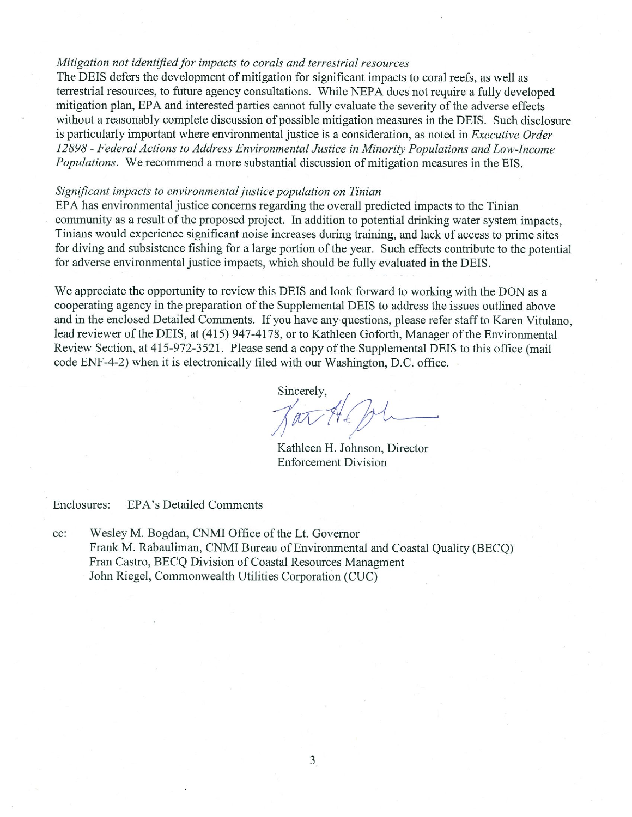#### Mitigation not identified for impacts to corals and terrestrial resources

The DEIS defers the development of mitigation for significant impacts to coral reefs, as well as terrestrial resources, to future agency consultations. While NEPA does not require a fully developed mitigation plan, EPA and interested parties cannot fully evaluate the severity of the adverse effects without a reasonably complete discussion of possible mitigation measures in the DEIS. Such disclosure is particularly important where environmental justice is a consideration, as noted in *Executive Order* 12898 - Federal Actions to Address Environmental Justice in Minority Populations and Low-Income *Populations.* We recommend a more substantial discussion of mitigation measures in the EIS.

#### Significant impacts to environmental justice population on Tinian

EPA has environmental justice concerns regarding the overall predicted impacts to the Tinian community as a result of the proposed project. In addition to potential drinking water system impacts, Tinians would experience significant noise increases during training, and lack of access to prime sites for diving and subsistence fishing for a large portion of the year. Such effects contribute to the potential for adverse environmental justice impacts, which should be fully evaluated in the DEIS.

We appreciate the opportunity to review this DEIS and look forward to working with the DON as a cooperating agency in the preparation of the Supplemental DEIS to address the issues outlined above and in the enclosed Detailed Comments. If you have any questions, please refer staff to Karen Vitulano. lead reviewer of the DEIS, at (415) 947-4178, or to Kathleen Goforth, Manager of the Environmental Review Section, at 415-972-3521. Please send a copy of the Supplemental DEIS to this office (mail code ENF-4-2) when it is electronically filed with our Washington, D.C. office.

Sincerely,

Kathleen H. Johnson, Director **Enforcement Division** 

Enclosures: **EPA's Detailed Comments** 

cc: Wesley M. Bogdan, CNMI Office of the Lt. Governor Frank M. Rabauliman, CNMI Bureau of Environmental and Coastal Ouality (BECO) Fran Castro, BECQ Division of Coastal Resources Managment John Riegel, Commonwealth Utilities Corporation (CUC)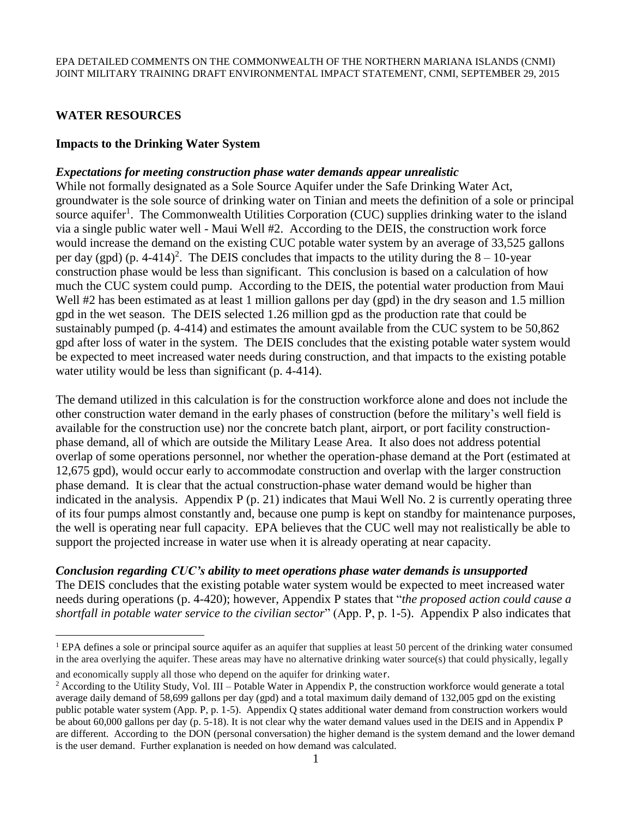# **WATER RESOURCES**

 $\overline{a}$ 

#### **Impacts to the Drinking Water System**

#### *Expectations for meeting construction phase water demands appear unrealistic*

While not formally designated as a Sole Source Aquifer under the Safe Drinking Water Act, groundwater is the sole source of drinking water on Tinian and meets the definition of a sole or principal source aquifer<sup>1</sup>. The Commonwealth Utilities Corporation (CUC) supplies drinking water to the island via a single public water well - Maui Well #2. According to the DEIS, the construction work force would increase the demand on the existing CUC potable water system by an average of 33,525 gallons per day (gpd) (p. 4-414)<sup>2</sup>. The DEIS concludes that impacts to the utility during the  $8 - 10$ -year construction phase would be less than significant. This conclusion is based on a calculation of how much the CUC system could pump. According to the DEIS, the potential water production from Maui Well #2 has been estimated as at least 1 million gallons per day (gpd) in the dry season and 1.5 million gpd in the wet season. The DEIS selected 1.26 million gpd as the production rate that could be sustainably pumped (p. 4-414) and estimates the amount available from the CUC system to be 50,862 gpd after loss of water in the system. The DEIS concludes that the existing potable water system would be expected to meet increased water needs during construction, and that impacts to the existing potable water utility would be less than significant (p. 4-414).

The demand utilized in this calculation is for the construction workforce alone and does not include the other construction water demand in the early phases of construction (before the military's well field is available for the construction use) nor the concrete batch plant, airport, or port facility constructionphase demand, all of which are outside the Military Lease Area. It also does not address potential overlap of some operations personnel, nor whether the operation-phase demand at the Port (estimated at 12,675 gpd), would occur early to accommodate construction and overlap with the larger construction phase demand. It is clear that the actual construction-phase water demand would be higher than indicated in the analysis. Appendix P (p. 21) indicates that Maui Well No. 2 is currently operating three of its four pumps almost constantly and, because one pump is kept on standby for maintenance purposes, the well is operating near full capacity. EPA believes that the CUC well may not realistically be able to support the projected increase in water use when it is already operating at near capacity.

#### *Conclusion regarding CUC's ability to meet operations phase water demands is unsupported*

The DEIS concludes that the existing potable water system would be expected to meet increased water needs during operations (p. 4-420); however, Appendix P states that "*the proposed action could cause a shortfall in potable water service to the civilian sector*" (App. P, p. 1-5). Appendix P also indicates that

<sup>&</sup>lt;sup>1</sup> EPA defines a sole or principal source aquifer as an aquifer that supplies at least 50 percent of the drinking water consumed in the area overlying the aquifer. These areas may have no alternative drinking water source(s) that could physically, legally and economically supply all those who depend on the aquifer for drinking water.

 $2$  According to the Utility Study, Vol. III – Potable Water in Appendix P, the construction workforce would generate a total average daily demand of 58,699 gallons per day (gpd) and a total maximum daily demand of 132,005 gpd on the existing public potable water system (App. P, p. 1-5). Appendix Q states additional water demand from construction workers would be about 60,000 gallons per day (p. 5-18). It is not clear why the water demand values used in the DEIS and in Appendix P are different. According to the DON (personal conversation) the higher demand is the system demand and the lower demand is the user demand. Further explanation is needed on how demand was calculated.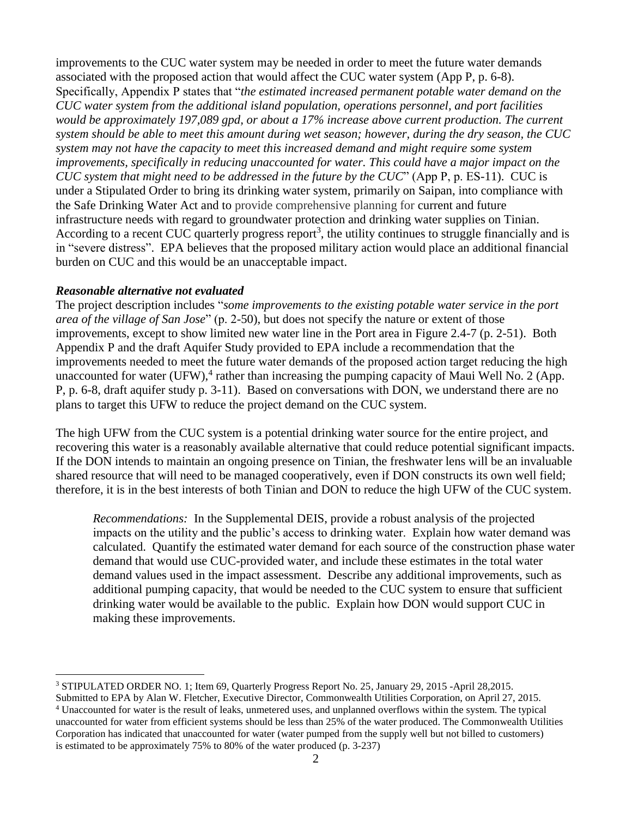improvements to the CUC water system may be needed in order to meet the future water demands associated with the proposed action that would affect the CUC water system (App P, p. 6-8). Specifically, Appendix P states that "*the estimated increased permanent potable water demand on the CUC water system from the additional island population, operations personnel, and port facilities would be approximately 197,089 gpd, or about a 17% increase above current production. The current system should be able to meet this amount during wet season; however, during the dry season, the CUC system may not have the capacity to meet this increased demand and might require some system improvements, specifically in reducing unaccounted for water. This could have a major impact on the CUC system that might need to be addressed in the future by the CUC*" (App P, p. ES-11). CUC is under a Stipulated Order to bring its drinking water system, primarily on Saipan, into compliance with the Safe Drinking Water Act and to provide comprehensive planning for current and future infrastructure needs with regard to groundwater protection and drinking water supplies on Tinian. According to a recent CUC quarterly progress report<sup>3</sup>, the utility continues to struggle financially and is in "severe distress". EPA believes that the proposed military action would place an additional financial burden on CUC and this would be an unacceptable impact.

## *Reasonable alternative not evaluated*

 $\overline{a}$ 

The project description includes "*some improvements to the existing potable water service in the port area of the village of San Jose*" (p. 2-50), but does not specify the nature or extent of those improvements, except to show limited new water line in the Port area in Figure 2.4-7 (p. 2-51). Both Appendix P and the draft Aquifer Study provided to EPA include a recommendation that the improvements needed to meet the future water demands of the proposed action target reducing the high unaccounted for water (UFW),<sup>4</sup> rather than increasing the pumping capacity of Maui Well No. 2 (App. P, p. 6-8, draft aquifer study p. 3-11). Based on conversations with DON, we understand there are no plans to target this UFW to reduce the project demand on the CUC system.

The high UFW from the CUC system is a potential drinking water source for the entire project, and recovering this water is a reasonably available alternative that could reduce potential significant impacts. If the DON intends to maintain an ongoing presence on Tinian, the freshwater lens will be an invaluable shared resource that will need to be managed cooperatively, even if DON constructs its own well field; therefore, it is in the best interests of both Tinian and DON to reduce the high UFW of the CUC system.

*Recommendations:* In the Supplemental DEIS, provide a robust analysis of the projected impacts on the utility and the public's access to drinking water. Explain how water demand was calculated. Quantify the estimated water demand for each source of the construction phase water demand that would use CUC-provided water, and include these estimates in the total water demand values used in the impact assessment. Describe any additional improvements, such as additional pumping capacity, that would be needed to the CUC system to ensure that sufficient drinking water would be available to the public. Explain how DON would support CUC in making these improvements.

<sup>3</sup> STIPULATED ORDER NO. 1; Item 69, Quarterly Progress Report No. 25, January 29, 2015 -April 28,2015.

Submitted to EPA by Alan W. Fletcher, Executive Director, Commonwealth Utilities Corporation, on April 27, 2015. <sup>4</sup> Unaccounted for water is the result of leaks, unmetered uses, and unplanned overflows within the system. The typical unaccounted for water from efficient systems should be less than 25% of the water produced. The Commonwealth Utilities Corporation has indicated that unaccounted for water (water pumped from the supply well but not billed to customers) is estimated to be approximately 75% to 80% of the water produced (p. 3-237)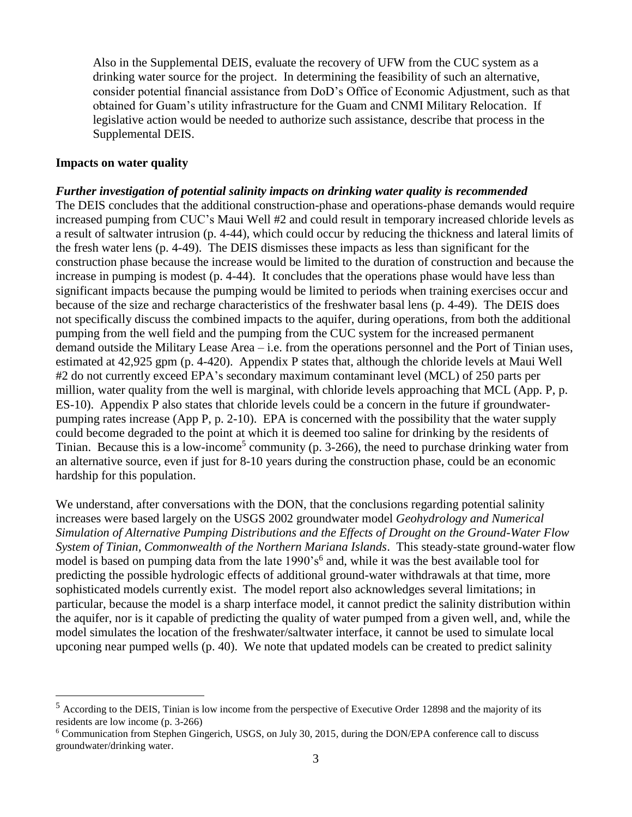Also in the Supplemental DEIS, evaluate the recovery of UFW from the CUC system as a drinking water source for the project. In determining the feasibility of such an alternative, consider potential financial assistance from DoD's Office of Economic Adjustment, such as that obtained for Guam's utility infrastructure for the Guam and CNMI Military Relocation. If legislative action would be needed to authorize such assistance, describe that process in the Supplemental DEIS.

#### **Impacts on water quality**

 $\overline{a}$ 

#### *Further investigation of potential salinity impacts on drinking water quality is recommended*

The DEIS concludes that the additional construction-phase and operations-phase demands would require increased pumping from CUC's Maui Well #2 and could result in temporary increased chloride levels as a result of saltwater intrusion (p. 4-44), which could occur by reducing the thickness and lateral limits of the fresh water lens (p. 4-49). The DEIS dismisses these impacts as less than significant for the construction phase because the increase would be limited to the duration of construction and because the increase in pumping is modest (p. 4-44). It concludes that the operations phase would have less than significant impacts because the pumping would be limited to periods when training exercises occur and because of the size and recharge characteristics of the freshwater basal lens (p. 4-49). The DEIS does not specifically discuss the combined impacts to the aquifer, during operations, from both the additional pumping from the well field and the pumping from the CUC system for the increased permanent demand outside the Military Lease Area – i.e. from the operations personnel and the Port of Tinian uses, estimated at 42,925 gpm (p. 4-420). Appendix P states that, although the chloride levels at Maui Well #2 do not currently exceed EPA's secondary maximum contaminant level (MCL) of 250 parts per million, water quality from the well is marginal, with chloride levels approaching that MCL (App. P, p. ES-10). Appendix P also states that chloride levels could be a concern in the future if groundwaterpumping rates increase (App P, p. 2-10). EPA is concerned with the possibility that the water supply could become degraded to the point at which it is deemed too saline for drinking by the residents of Tinian. Because this is a low-income<sup>5</sup> community (p. 3-266), the need to purchase drinking water from an alternative source, even if just for 8-10 years during the construction phase, could be an economic hardship for this population.

We understand, after conversations with the DON, that the conclusions regarding potential salinity increases were based largely on the USGS 2002 groundwater model *Geohydrology and Numerical Simulation of Alternative Pumping Distributions and the Effects of Drought on the Ground-Water Flow System of Tinian, Commonwealth of the Northern Mariana Islands*. This steady-state ground-water flow model is based on pumping data from the late 1990's<sup>6</sup> and, while it was the best available tool for predicting the possible hydrologic effects of additional ground-water withdrawals at that time, more sophisticated models currently exist. The model report also acknowledges several limitations; in particular, because the model is a sharp interface model, it cannot predict the salinity distribution within the aquifer, nor is it capable of predicting the quality of water pumped from a given well, and, while the model simulates the location of the freshwater/saltwater interface, it cannot be used to simulate local upconing near pumped wells (p. 40). We note that updated models can be created to predict salinity

<sup>5</sup> According to the DEIS, Tinian is low income from the perspective of Executive Order 12898 and the majority of its residents are low income (p. 3-266)

<sup>6</sup> Communication from Stephen Gingerich, USGS, on July 30, 2015, during the DON/EPA conference call to discuss groundwater/drinking water.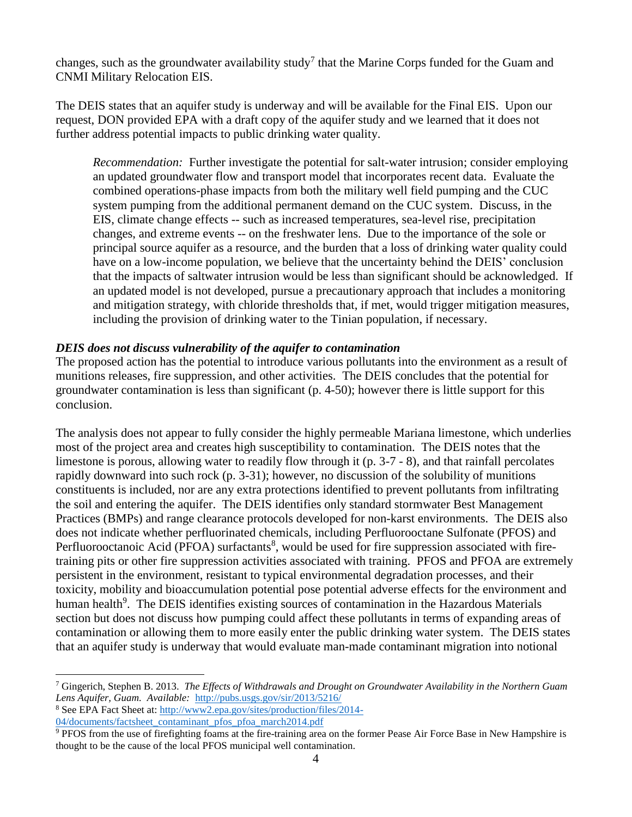changes, such as the groundwater availability study<sup>7</sup> that the Marine Corps funded for the Guam and CNMI Military Relocation EIS.

The DEIS states that an aquifer study is underway and will be available for the Final EIS. Upon our request, DON provided EPA with a draft copy of the aquifer study and we learned that it does not further address potential impacts to public drinking water quality.

*Recommendation:* Further investigate the potential for salt-water intrusion; consider employing an updated groundwater flow and transport model that incorporates recent data. Evaluate the combined operations-phase impacts from both the military well field pumping and the CUC system pumping from the additional permanent demand on the CUC system. Discuss, in the EIS, climate change effects -- such as increased temperatures, sea-level rise, precipitation changes, and extreme events -- on the freshwater lens. Due to the importance of the sole or principal source aquifer as a resource, and the burden that a loss of drinking water quality could have on a low-income population, we believe that the uncertainty behind the DEIS' conclusion that the impacts of saltwater intrusion would be less than significant should be acknowledged. If an updated model is not developed, pursue a precautionary approach that includes a monitoring and mitigation strategy, with chloride thresholds that, if met, would trigger mitigation measures, including the provision of drinking water to the Tinian population, if necessary.

## *DEIS does not discuss vulnerability of the aquifer to contamination*

The proposed action has the potential to introduce various pollutants into the environment as a result of munitions releases, fire suppression, and other activities. The DEIS concludes that the potential for groundwater contamination is less than significant (p. 4-50); however there is little support for this conclusion.

The analysis does not appear to fully consider the highly permeable Mariana limestone, which underlies most of the project area and creates high susceptibility to contamination. The DEIS notes that the limestone is porous, allowing water to readily flow through it (p. 3-7 - 8), and that rainfall percolates rapidly downward into such rock (p. 3-31); however, no discussion of the solubility of munitions constituents is included, nor are any extra protections identified to prevent pollutants from infiltrating the soil and entering the aquifer. The DEIS identifies only standard stormwater Best Management Practices (BMPs) and range clearance protocols developed for non-karst environments. The DEIS also does not indicate whether perfluorinated chemicals, including Perfluorooctane Sulfonate (PFOS) and Perfluorooctanoic Acid (PFOA) surfactants<sup>8</sup>, would be used for fire suppression associated with firetraining pits or other fire suppression activities associated with training. PFOS and PFOA are extremely persistent in the environment, resistant to typical environmental degradation processes, and their toxicity, mobility and bioaccumulation potential pose potential adverse effects for the environment and human health<sup>9</sup>. The DEIS identifies existing sources of contamination in the Hazardous Materials section but does not discuss how pumping could affect these pollutants in terms of expanding areas of contamination or allowing them to more easily enter the public drinking water system. The DEIS states that an aquifer study is underway that would evaluate man-made contaminant migration into notional

 $\overline{a}$ 

<sup>7</sup> Gingerich, Stephen B. 2013. *The Effects of Withdrawals and Drought on Groundwater Availability in the Northern Guam Lens Aquifer, Guam. Available:* <http://pubs.usgs.gov/sir/2013/5216/>

<sup>8</sup> See EPA Fact Sheet at: [http://www2.epa.gov/sites/production/files/2014-](http://www2.epa.gov/sites/production/files/2014-04/documents/factsheet_contaminant_pfos_pfoa_march2014.pdf) [04/documents/factsheet\\_contaminant\\_pfos\\_pfoa\\_march2014.pdf](http://www2.epa.gov/sites/production/files/2014-04/documents/factsheet_contaminant_pfos_pfoa_march2014.pdf)

<sup>9</sup> PFOS from the use of firefighting foams at the fire-training area on the former Pease Air Force Base in New Hampshire is thought to be the cause of the local PFOS municipal well contamination.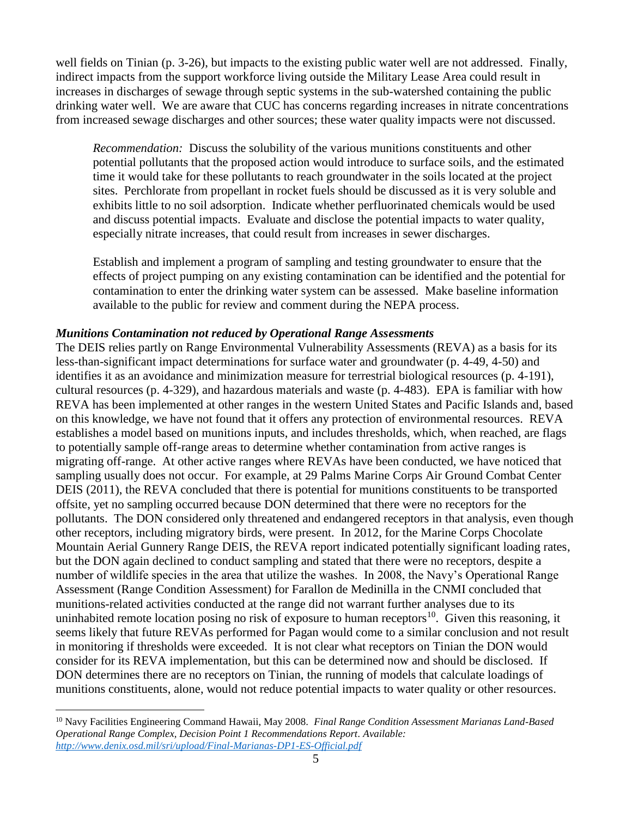well fields on Tinian (p. 3-26), but impacts to the existing public water well are not addressed. Finally, indirect impacts from the support workforce living outside the Military Lease Area could result in increases in discharges of sewage through septic systems in the sub-watershed containing the public drinking water well. We are aware that CUC has concerns regarding increases in nitrate concentrations from increased sewage discharges and other sources; these water quality impacts were not discussed.

*Recommendation:* Discuss the solubility of the various munitions constituents and other potential pollutants that the proposed action would introduce to surface soils, and the estimated time it would take for these pollutants to reach groundwater in the soils located at the project sites. Perchlorate from propellant in rocket fuels should be discussed as it is very soluble and exhibits little to no soil adsorption. Indicate whether perfluorinated chemicals would be used and discuss potential impacts. Evaluate and disclose the potential impacts to water quality, especially nitrate increases, that could result from increases in sewer discharges.

Establish and implement a program of sampling and testing groundwater to ensure that the effects of project pumping on any existing contamination can be identified and the potential for contamination to enter the drinking water system can be assessed. Make baseline information available to the public for review and comment during the NEPA process.

#### *Munitions Contamination not reduced by Operational Range Assessments*

The DEIS relies partly on Range Environmental Vulnerability Assessments (REVA) as a basis for its less-than-significant impact determinations for surface water and groundwater (p. 4-49, 4-50) and identifies it as an avoidance and minimization measure for terrestrial biological resources (p. 4-191), cultural resources (p. 4-329), and hazardous materials and waste (p. 4-483). EPA is familiar with how REVA has been implemented at other ranges in the western United States and Pacific Islands and, based on this knowledge, we have not found that it offers any protection of environmental resources. REVA establishes a model based on munitions inputs, and includes thresholds, which, when reached, are flags to potentially sample off-range areas to determine whether contamination from active ranges is migrating off-range. At other active ranges where REVAs have been conducted, we have noticed that sampling usually does not occur. For example, at 29 Palms Marine Corps Air Ground Combat Center DEIS (2011), the REVA concluded that there is potential for munitions constituents to be transported offsite, yet no sampling occurred because DON determined that there were no receptors for the pollutants. The DON considered only threatened and endangered receptors in that analysis, even though other receptors, including migratory birds, were present. In 2012, for the Marine Corps Chocolate Mountain Aerial Gunnery Range DEIS, the REVA report indicated potentially significant loading rates, but the DON again declined to conduct sampling and stated that there were no receptors, despite a number of wildlife species in the area that utilize the washes. In 2008, the Navy's Operational Range Assessment (Range Condition Assessment) for Farallon de Medinilla in the CNMI concluded that munitions-related activities conducted at the range did not warrant further analyses due to its uninhabited remote location posing no risk of exposure to human receptors<sup>10</sup>. Given this reasoning, it seems likely that future REVAs performed for Pagan would come to a similar conclusion and not result in monitoring if thresholds were exceeded. It is not clear what receptors on Tinian the DON would consider for its REVA implementation, but this can be determined now and should be disclosed. If DON determines there are no receptors on Tinian, the running of models that calculate loadings of munitions constituents, alone, would not reduce potential impacts to water quality or other resources.

 $\overline{a}$ 

<sup>10</sup> Navy Facilities Engineering Command Hawaii, May 2008. *Final Range Condition Assessment Marianas Land-Based Operational Range Complex, Decision Point 1 Recommendations Report. Available: <http://www.denix.osd.mil/sri/upload/Final-Marianas-DP1-ES-Official.pdf>*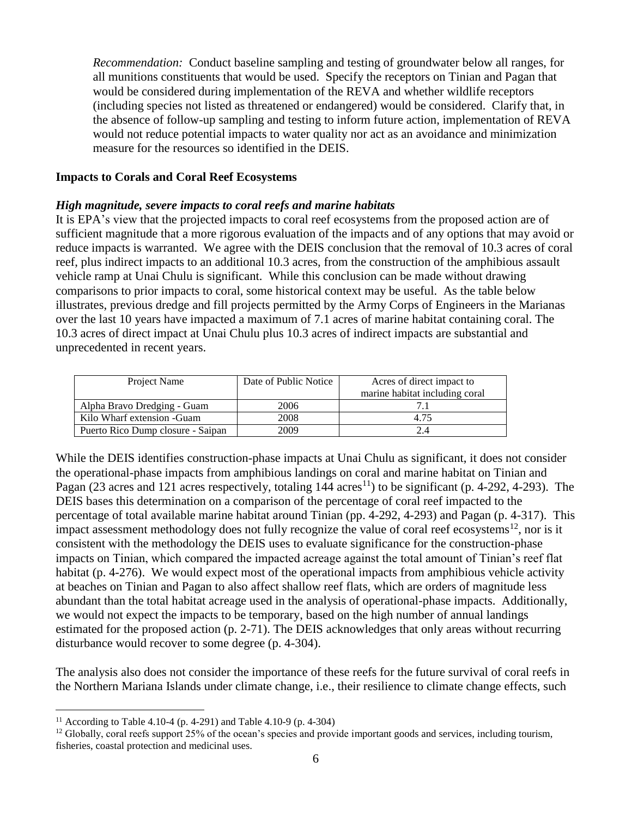*Recommendation:* Conduct baseline sampling and testing of groundwater below all ranges, for all munitions constituents that would be used. Specify the receptors on Tinian and Pagan that would be considered during implementation of the REVA and whether wildlife receptors (including species not listed as threatened or endangered) would be considered. Clarify that, in the absence of follow-up sampling and testing to inform future action, implementation of REVA would not reduce potential impacts to water quality nor act as an avoidance and minimization measure for the resources so identified in the DEIS.

#### **Impacts to Corals and Coral Reef Ecosystems**

#### *High magnitude, severe impacts to coral reefs and marine habitats*

It is EPA's view that the projected impacts to coral reef ecosystems from the proposed action are of sufficient magnitude that a more rigorous evaluation of the impacts and of any options that may avoid or reduce impacts is warranted. We agree with the DEIS conclusion that the removal of 10.3 acres of coral reef, plus indirect impacts to an additional 10.3 acres, from the construction of the amphibious assault vehicle ramp at Unai Chulu is significant. While this conclusion can be made without drawing comparisons to prior impacts to coral, some historical context may be useful. As the table below illustrates, previous dredge and fill projects permitted by the Army Corps of Engineers in the Marianas over the last 10 years have impacted a maximum of 7.1 acres of marine habitat containing coral. The 10.3 acres of direct impact at Unai Chulu plus 10.3 acres of indirect impacts are substantial and unprecedented in recent years.

| Project Name                      | Date of Public Notice | Acres of direct impact to      |
|-----------------------------------|-----------------------|--------------------------------|
|                                   |                       | marine habitat including coral |
| Alpha Bravo Dredging - Guam       | 2006                  |                                |
| Kilo Wharf extension - Guam       | 2008                  | 4.75                           |
| Puerto Rico Dump closure - Saipan | 2009                  | 2.4                            |

While the DEIS identifies construction-phase impacts at Unai Chulu as significant, it does not consider the operational-phase impacts from amphibious landings on coral and marine habitat on Tinian and Pagan (23 acres and 121 acres respectively, totaling  $144 \text{ acres}^{11}$ ) to be significant (p. 4-292, 4-293). The DEIS bases this determination on a comparison of the percentage of coral reef impacted to the percentage of total available marine habitat around Tinian (pp. 4-292, 4-293) and Pagan (p. 4-317). This impact assessment methodology does not fully recognize the value of coral reef ecosystems<sup>12</sup>, nor is it consistent with the methodology the DEIS uses to evaluate significance for the construction-phase impacts on Tinian, which compared the impacted acreage against the total amount of Tinian's reef flat habitat (p. 4-276). We would expect most of the operational impacts from amphibious vehicle activity at beaches on Tinian and Pagan to also affect shallow reef flats, which are orders of magnitude less abundant than the total habitat acreage used in the analysis of operational-phase impacts. Additionally, we would not expect the impacts to be temporary, based on the high number of annual landings estimated for the proposed action (p. 2-71). The DEIS acknowledges that only areas without recurring disturbance would recover to some degree (p. 4-304).

The analysis also does not consider the importance of these reefs for the future survival of coral reefs in the Northern Mariana Islands under climate change, i.e., their resilience to climate change effects, such

 $\overline{a}$ 

<sup>&</sup>lt;sup>11</sup> According to Table 4.10-4 (p. 4-291) and Table 4.10-9 (p. 4-304)

 $12$  Globally, coral reefs support 25% of the ocean's species and provide important goods and services, including tourism, fisheries, coastal protection and medicinal uses.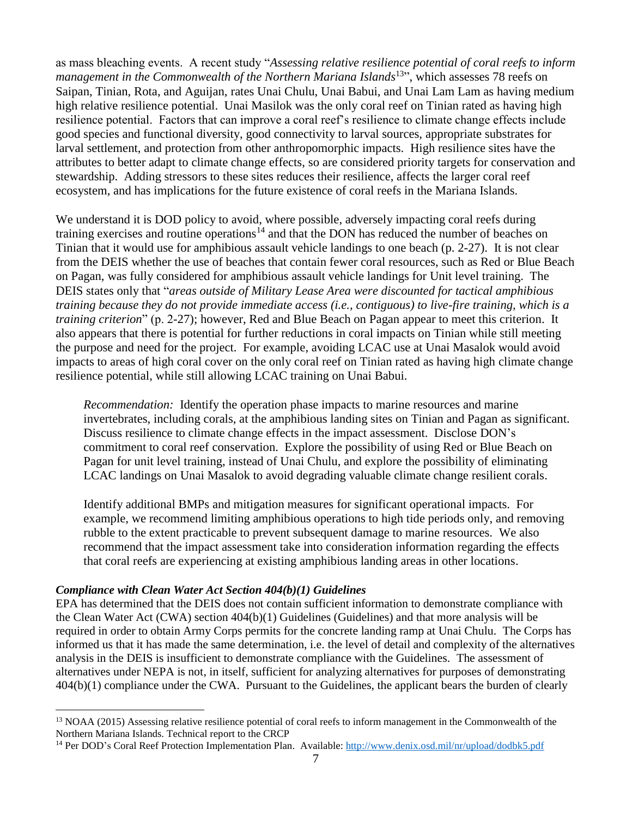as mass bleaching events. A recent study "*Assessing relative resilience potential of coral reefs to inform*  management in the Commonwealth of the Northern Mariana Islands<sup>13</sup>", which assesses 78 reefs on Saipan, Tinian, Rota, and Aguijan, rates Unai Chulu, Unai Babui, and Unai Lam Lam as having medium high relative resilience potential. Unai Masilok was the only coral reef on Tinian rated as having high resilience potential. Factors that can improve a coral reef's resilience to climate change effects include good species and functional diversity, good connectivity to larval sources, appropriate substrates for larval settlement, and protection from other anthropomorphic impacts. High resilience sites have the attributes to better adapt to climate change effects, so are considered priority targets for conservation and stewardship. Adding stressors to these sites reduces their resilience, affects the larger coral reef ecosystem, and has implications for the future existence of coral reefs in the Mariana Islands.

We understand it is DOD policy to avoid, where possible, adversely impacting coral reefs during training exercises and routine operations<sup>14</sup> and that the DON has reduced the number of beaches on Tinian that it would use for amphibious assault vehicle landings to one beach (p. 2-27). It is not clear from the DEIS whether the use of beaches that contain fewer coral resources, such as Red or Blue Beach on Pagan, was fully considered for amphibious assault vehicle landings for Unit level training. The DEIS states only that "*areas outside of Military Lease Area were discounted for tactical amphibious training because they do not provide immediate access (i.e., contiguous) to live-fire training, which is a training criterion*" (p. 2-27); however, Red and Blue Beach on Pagan appear to meet this criterion. It also appears that there is potential for further reductions in coral impacts on Tinian while still meeting the purpose and need for the project. For example, avoiding LCAC use at Unai Masalok would avoid impacts to areas of high coral cover on the only coral reef on Tinian rated as having high climate change resilience potential, while still allowing LCAC training on Unai Babui.

*Recommendation:* Identify the operation phase impacts to marine resources and marine invertebrates, including corals, at the amphibious landing sites on Tinian and Pagan as significant. Discuss resilience to climate change effects in the impact assessment. Disclose DON's commitment to coral reef conservation. Explore the possibility of using Red or Blue Beach on Pagan for unit level training, instead of Unai Chulu, and explore the possibility of eliminating LCAC landings on Unai Masalok to avoid degrading valuable climate change resilient corals.

Identify additional BMPs and mitigation measures for significant operational impacts. For example, we recommend limiting amphibious operations to high tide periods only, and removing rubble to the extent practicable to prevent subsequent damage to marine resources. We also recommend that the impact assessment take into consideration information regarding the effects that coral reefs are experiencing at existing amphibious landing areas in other locations.

#### *Compliance with Clean Water Act Section 404(b)(1) Guidelines*

 $\overline{a}$ 

EPA has determined that the DEIS does not contain sufficient information to demonstrate compliance with the Clean Water Act (CWA) section 404(b)(1) Guidelines (Guidelines) and that more analysis will be required in order to obtain Army Corps permits for the concrete landing ramp at Unai Chulu. The Corps has informed us that it has made the same determination, i.e. the level of detail and complexity of the alternatives analysis in the DEIS is insufficient to demonstrate compliance with the Guidelines. The assessment of alternatives under NEPA is not, in itself, sufficient for analyzing alternatives for purposes of demonstrating 404(b)(1) compliance under the CWA. Pursuant to the Guidelines, the applicant bears the burden of clearly

<sup>&</sup>lt;sup>13</sup> NOAA (2015) Assessing relative resilience potential of coral reefs to inform management in the Commonwealth of the Northern Mariana Islands. Technical report to the CRCP

<sup>14</sup> Per DOD's Coral Reef Protection Implementation Plan. Available:<http://www.denix.osd.mil/nr/upload/dodbk5.pdf>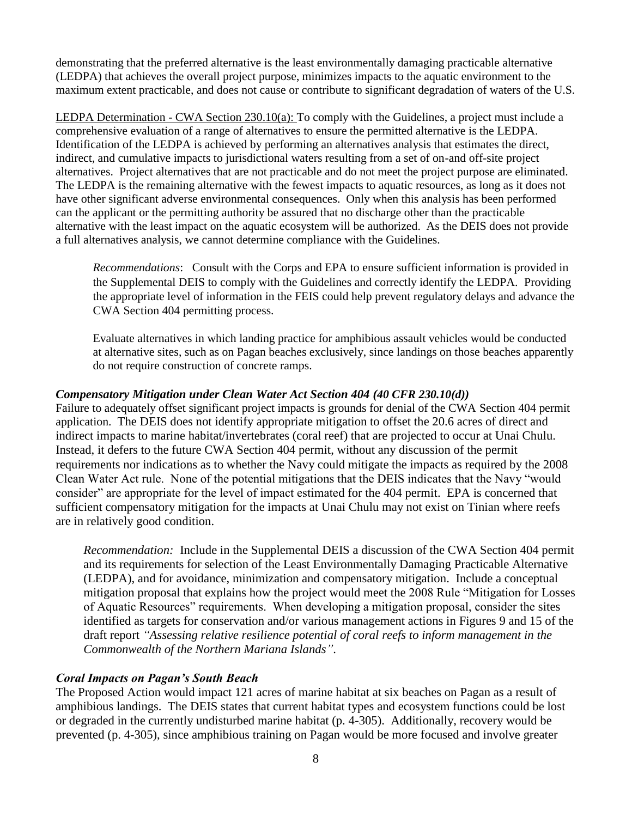demonstrating that the preferred alternative is the least environmentally damaging practicable alternative (LEDPA) that achieves the overall project purpose, minimizes impacts to the aquatic environment to the maximum extent practicable, and does not cause or contribute to significant degradation of waters of the U.S.

LEDPA Determination - CWA Section 230.10(a): To comply with the Guidelines, a project must include a comprehensive evaluation of a range of alternatives to ensure the permitted alternative is the LEDPA. Identification of the LEDPA is achieved by performing an alternatives analysis that estimates the direct, indirect, and cumulative impacts to jurisdictional waters resulting from a set of on-and off-site project alternatives. Project alternatives that are not practicable and do not meet the project purpose are eliminated. The LEDPA is the remaining alternative with the fewest impacts to aquatic resources, as long as it does not have other significant adverse environmental consequences. Only when this analysis has been performed can the applicant or the permitting authority be assured that no discharge other than the practicable alternative with the least impact on the aquatic ecosystem will be authorized. As the DEIS does not provide a full alternatives analysis, we cannot determine compliance with the Guidelines.

*Recommendations*: Consult with the Corps and EPA to ensure sufficient information is provided in the Supplemental DEIS to comply with the Guidelines and correctly identify the LEDPA. Providing the appropriate level of information in the FEIS could help prevent regulatory delays and advance the CWA Section 404 permitting process.

Evaluate alternatives in which landing practice for amphibious assault vehicles would be conducted at alternative sites, such as on Pagan beaches exclusively, since landings on those beaches apparently do not require construction of concrete ramps.

#### *Compensatory Mitigation under Clean Water Act Section 404 (40 CFR 230.10(d))*

Failure to adequately offset significant project impacts is grounds for denial of the CWA Section 404 permit application. The DEIS does not identify appropriate mitigation to offset the 20.6 acres of direct and indirect impacts to marine habitat/invertebrates (coral reef) that are projected to occur at Unai Chulu. Instead, it defers to the future CWA Section 404 permit, without any discussion of the permit requirements nor indications as to whether the Navy could mitigate the impacts as required by the 2008 Clean Water Act rule. None of the potential mitigations that the DEIS indicates that the Navy "would consider" are appropriate for the level of impact estimated for the 404 permit. EPA is concerned that sufficient compensatory mitigation for the impacts at Unai Chulu may not exist on Tinian where reefs are in relatively good condition.

*Recommendation:* Include in the Supplemental DEIS a discussion of the CWA Section 404 permit and its requirements for selection of the Least Environmentally Damaging Practicable Alternative (LEDPA), and for avoidance, minimization and compensatory mitigation. Include a conceptual mitigation proposal that explains how the project would meet the 2008 Rule "Mitigation for Losses of Aquatic Resources" requirements. When developing a mitigation proposal, consider the sites identified as targets for conservation and/or various management actions in Figures 9 and 15 of the draft report *"Assessing relative resilience potential of coral reefs to inform management in the Commonwealth of the Northern Mariana Islands"*.

## *Coral Impacts on Pagan's South Beach*

The Proposed Action would impact 121 acres of marine habitat at six beaches on Pagan as a result of amphibious landings. The DEIS states that current habitat types and ecosystem functions could be lost or degraded in the currently undisturbed marine habitat (p. 4-305). Additionally, recovery would be prevented (p. 4-305), since amphibious training on Pagan would be more focused and involve greater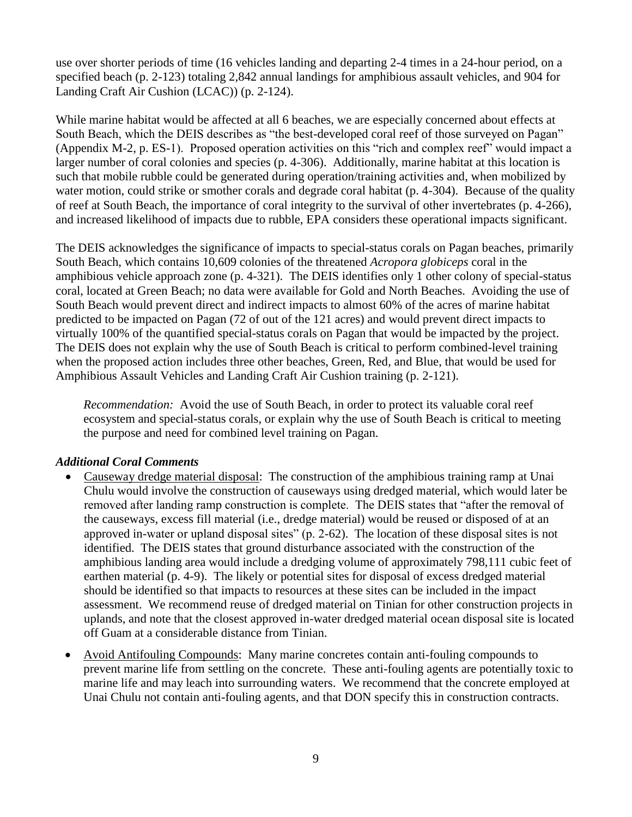use over shorter periods of time (16 vehicles landing and departing 2-4 times in a 24-hour period, on a specified beach (p. 2-123) totaling 2,842 annual landings for amphibious assault vehicles, and 904 for Landing Craft Air Cushion (LCAC)) (p. 2-124).

While marine habitat would be affected at all 6 beaches, we are especially concerned about effects at South Beach, which the DEIS describes as "the best-developed coral reef of those surveyed on Pagan" (Appendix M-2, p. ES-1). Proposed operation activities on this "rich and complex reef" would impact a larger number of coral colonies and species (p. 4-306). Additionally, marine habitat at this location is such that mobile rubble could be generated during operation/training activities and, when mobilized by water motion, could strike or smother corals and degrade coral habitat (p. 4-304). Because of the quality of reef at South Beach, the importance of coral integrity to the survival of other invertebrates (p. 4-266), and increased likelihood of impacts due to rubble, EPA considers these operational impacts significant.

The DEIS acknowledges the significance of impacts to special-status corals on Pagan beaches, primarily South Beach, which contains 10,609 colonies of the threatened *Acropora globiceps* coral in the amphibious vehicle approach zone (p. 4-321). The DEIS identifies only 1 other colony of special-status coral, located at Green Beach; no data were available for Gold and North Beaches. Avoiding the use of South Beach would prevent direct and indirect impacts to almost 60% of the acres of marine habitat predicted to be impacted on Pagan (72 of out of the 121 acres) and would prevent direct impacts to virtually 100% of the quantified special-status corals on Pagan that would be impacted by the project. The DEIS does not explain why the use of South Beach is critical to perform combined-level training when the proposed action includes three other beaches, Green, Red, and Blue, that would be used for Amphibious Assault Vehicles and Landing Craft Air Cushion training (p. 2-121).

*Recommendation:* Avoid the use of South Beach, in order to protect its valuable coral reef ecosystem and special-status corals, or explain why the use of South Beach is critical to meeting the purpose and need for combined level training on Pagan.

## *Additional Coral Comments*

- Causeway dredge material disposal: The construction of the amphibious training ramp at Unai Chulu would involve the construction of causeways using dredged material, which would later be removed after landing ramp construction is complete. The DEIS states that "after the removal of the causeways, excess fill material (i.e., dredge material) would be reused or disposed of at an approved in-water or upland disposal sites" (p. 2-62). The location of these disposal sites is not identified. The DEIS states that ground disturbance associated with the construction of the amphibious landing area would include a dredging volume of approximately 798,111 cubic feet of earthen material (p. 4-9). The likely or potential sites for disposal of excess dredged material should be identified so that impacts to resources at these sites can be included in the impact assessment. We recommend reuse of dredged material on Tinian for other construction projects in uplands, and note that the closest approved in-water dredged material ocean disposal site is located off Guam at a considerable distance from Tinian.
- Avoid Antifouling Compounds: Many marine concretes contain anti-fouling compounds to prevent marine life from settling on the concrete. These anti-fouling agents are potentially toxic to marine life and may leach into surrounding waters. We recommend that the concrete employed at Unai Chulu not contain anti-fouling agents, and that DON specify this in construction contracts.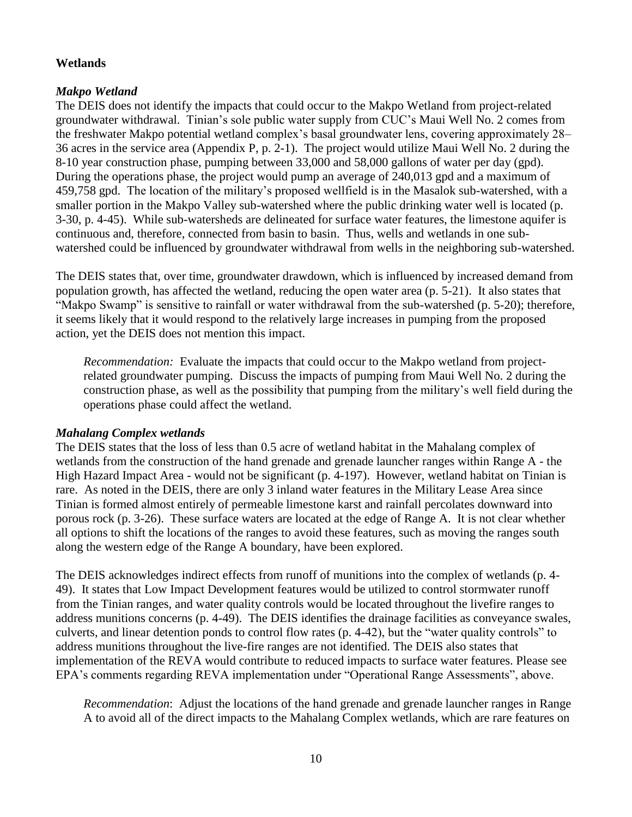# **Wetlands**

# *Makpo Wetland*

The DEIS does not identify the impacts that could occur to the Makpo Wetland from project-related groundwater withdrawal. Tinian's sole public water supply from CUC's Maui Well No. 2 comes from the freshwater Makpo potential wetland complex's basal groundwater lens, covering approximately 28– 36 acres in the service area (Appendix P, p. 2-1). The project would utilize Maui Well No. 2 during the 8-10 year construction phase, pumping between 33,000 and 58,000 gallons of water per day (gpd). During the operations phase, the project would pump an average of 240,013 gpd and a maximum of 459,758 gpd. The location of the military's proposed wellfield is in the Masalok sub-watershed, with a smaller portion in the Makpo Valley sub-watershed where the public drinking water well is located (p. 3-30, p. 4-45). While sub-watersheds are delineated for surface water features, the limestone aquifer is continuous and, therefore, connected from basin to basin. Thus, wells and wetlands in one subwatershed could be influenced by groundwater withdrawal from wells in the neighboring sub-watershed.

The DEIS states that, over time, groundwater drawdown, which is influenced by increased demand from population growth, has affected the wetland, reducing the open water area (p. 5-21). It also states that "Makpo Swamp" is sensitive to rainfall or water withdrawal from the sub-watershed (p. 5-20); therefore, it seems likely that it would respond to the relatively large increases in pumping from the proposed action, yet the DEIS does not mention this impact.

*Recommendation:* Evaluate the impacts that could occur to the Makpo wetland from projectrelated groundwater pumping. Discuss the impacts of pumping from Maui Well No. 2 during the construction phase, as well as the possibility that pumping from the military's well field during the operations phase could affect the wetland.

## *Mahalang Complex wetlands*

The DEIS states that the loss of less than 0.5 acre of wetland habitat in the Mahalang complex of wetlands from the construction of the hand grenade and grenade launcher ranges within Range A - the High Hazard Impact Area - would not be significant (p. 4-197). However, wetland habitat on Tinian is rare. As noted in the DEIS, there are only 3 inland water features in the Military Lease Area since Tinian is formed almost entirely of permeable limestone karst and rainfall percolates downward into porous rock (p. 3-26). These surface waters are located at the edge of Range A. It is not clear whether all options to shift the locations of the ranges to avoid these features, such as moving the ranges south along the western edge of the Range A boundary, have been explored.

The DEIS acknowledges indirect effects from runoff of munitions into the complex of wetlands (p. 4- 49). It states that Low Impact Development features would be utilized to control stormwater runoff from the Tinian ranges, and water quality controls would be located throughout the livefire ranges to address munitions concerns (p. 4-49). The DEIS identifies the drainage facilities as conveyance swales, culverts, and linear detention ponds to control flow rates (p. 4-42), but the "water quality controls" to address munitions throughout the live-fire ranges are not identified. The DEIS also states that implementation of the REVA would contribute to reduced impacts to surface water features. Please see EPA's comments regarding REVA implementation under "Operational Range Assessments", above.

*Recommendation*: Adjust the locations of the hand grenade and grenade launcher ranges in Range A to avoid all of the direct impacts to the Mahalang Complex wetlands, which are rare features on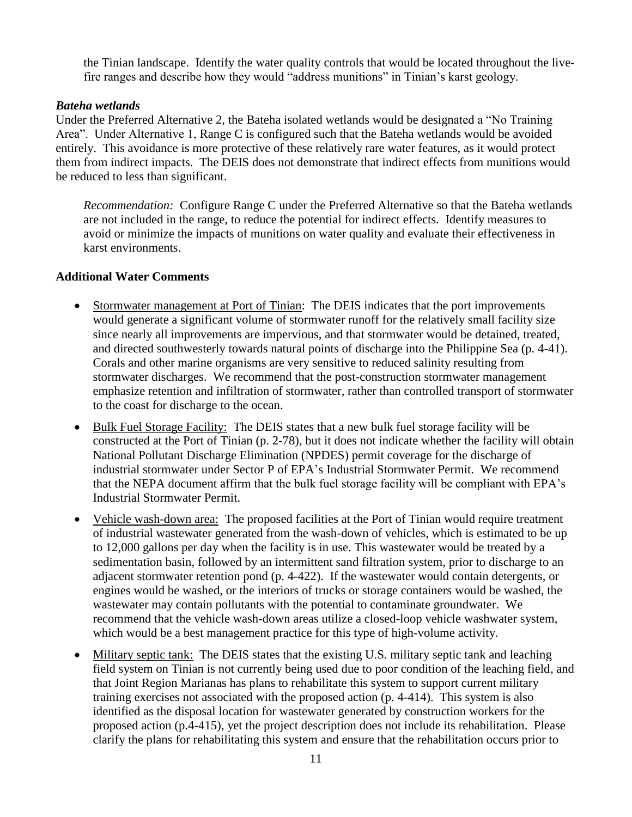the Tinian landscape. Identify the water quality controls that would be located throughout the livefire ranges and describe how they would "address munitions" in Tinian's karst geology.

#### *Bateha wetlands*

Under the Preferred Alternative 2, the Bateha isolated wetlands would be designated a "No Training Area". Under Alternative 1, Range C is configured such that the Bateha wetlands would be avoided entirely. This avoidance is more protective of these relatively rare water features, as it would protect them from indirect impacts. The DEIS does not demonstrate that indirect effects from munitions would be reduced to less than significant.

*Recommendation:* Configure Range C under the Preferred Alternative so that the Bateha wetlands are not included in the range, to reduce the potential for indirect effects. Identify measures to avoid or minimize the impacts of munitions on water quality and evaluate their effectiveness in karst environments.

## **Additional Water Comments**

- Stormwater management at Port of Tinian: The DEIS indicates that the port improvements would generate a significant volume of stormwater runoff for the relatively small facility size since nearly all improvements are impervious, and that stormwater would be detained, treated, and directed southwesterly towards natural points of discharge into the Philippine Sea (p. 4-41). Corals and other marine organisms are very sensitive to reduced salinity resulting from stormwater discharges. We recommend that the post-construction stormwater management emphasize retention and infiltration of stormwater, rather than controlled transport of stormwater to the coast for discharge to the ocean.
- Bulk Fuel Storage Facility: The DEIS states that a new bulk fuel storage facility will be constructed at the Port of Tinian (p. 2-78), but it does not indicate whether the facility will obtain National Pollutant Discharge Elimination (NPDES) permit coverage for the discharge of industrial stormwater under Sector P of EPA's Industrial Stormwater Permit. We recommend that the NEPA document affirm that the bulk fuel storage facility will be compliant with EPA's Industrial Stormwater Permit.
- Vehicle wash-down area: The proposed facilities at the Port of Tinian would require treatment of industrial wastewater generated from the wash-down of vehicles, which is estimated to be up to 12,000 gallons per day when the facility is in use. This wastewater would be treated by a sedimentation basin, followed by an intermittent sand filtration system, prior to discharge to an adjacent stormwater retention pond (p. 4-422). If the wastewater would contain detergents, or engines would be washed, or the interiors of trucks or storage containers would be washed, the wastewater may contain pollutants with the potential to contaminate groundwater. We recommend that the vehicle wash-down areas utilize a closed-loop vehicle washwater system, which would be a best management practice for this type of high-volume activity.
- Military septic tank: The DEIS states that the existing U.S. military septic tank and leaching field system on Tinian is not currently being used due to poor condition of the leaching field, and that Joint Region Marianas has plans to rehabilitate this system to support current military training exercises not associated with the proposed action (p. 4-414). This system is also identified as the disposal location for wastewater generated by construction workers for the proposed action (p.4-415), yet the project description does not include its rehabilitation. Please clarify the plans for rehabilitating this system and ensure that the rehabilitation occurs prior to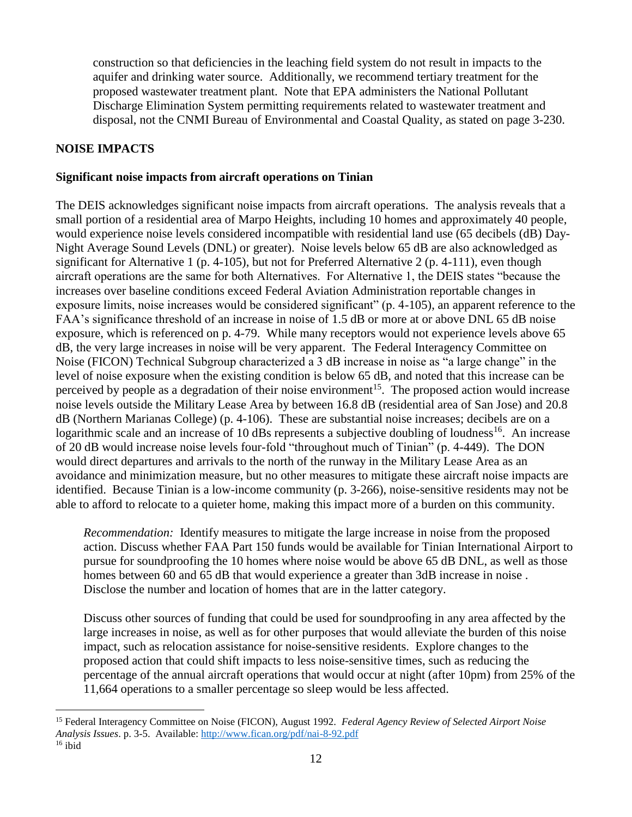construction so that deficiencies in the leaching field system do not result in impacts to the aquifer and drinking water source. Additionally, we recommend tertiary treatment for the proposed wastewater treatment plant. Note that EPA administers the National Pollutant Discharge Elimination System permitting requirements related to wastewater treatment and disposal, not the CNMI Bureau of Environmental and Coastal Quality, as stated on page 3-230.

# **NOISE IMPACTS**

 $\overline{a}$ 

#### **Significant noise impacts from aircraft operations on Tinian**

The DEIS acknowledges significant noise impacts from aircraft operations. The analysis reveals that a small portion of a residential area of Marpo Heights, including 10 homes and approximately 40 people, would experience noise levels considered incompatible with residential land use (65 decibels (dB) Day-Night Average Sound Levels (DNL) or greater). Noise levels below 65 dB are also acknowledged as significant for Alternative 1 (p. 4-105), but not for Preferred Alternative 2 (p. 4-111), even though aircraft operations are the same for both Alternatives. For Alternative 1, the DEIS states "because the increases over baseline conditions exceed Federal Aviation Administration reportable changes in exposure limits, noise increases would be considered significant" (p. 4-105), an apparent reference to the FAA's significance threshold of an increase in noise of 1.5 dB or more at or above DNL 65 dB noise exposure, which is referenced on p. 4-79. While many receptors would not experience levels above 65 dB, the very large increases in noise will be very apparent. The Federal Interagency Committee on Noise (FICON) Technical Subgroup characterized a 3 dB increase in noise as "a large change" in the level of noise exposure when the existing condition is below 65 dB, and noted that this increase can be perceived by people as a degradation of their noise environment<sup>15</sup>. The proposed action would increase noise levels outside the Military Lease Area by between 16.8 dB (residential area of San Jose) and 20.8 dB (Northern Marianas College) (p. 4-106). These are substantial noise increases; decibels are on a logarithmic scale and an increase of 10 dBs represents a subjective doubling of loudness<sup>16</sup>. An increase of 20 dB would increase noise levels four-fold "throughout much of Tinian" (p. 4-449). The DON would direct departures and arrivals to the north of the runway in the Military Lease Area as an avoidance and minimization measure, but no other measures to mitigate these aircraft noise impacts are identified. Because Tinian is a low-income community (p. 3-266), noise-sensitive residents may not be able to afford to relocate to a quieter home, making this impact more of a burden on this community.

*Recommendation:* Identify measures to mitigate the large increase in noise from the proposed action. Discuss whether FAA Part 150 funds would be available for Tinian International Airport to pursue for soundproofing the 10 homes where noise would be above 65 dB DNL, as well as those homes between 60 and 65 dB that would experience a greater than 3dB increase in noise . Disclose the number and location of homes that are in the latter category.

Discuss other sources of funding that could be used for soundproofing in any area affected by the large increases in noise, as well as for other purposes that would alleviate the burden of this noise impact, such as relocation assistance for noise-sensitive residents. Explore changes to the proposed action that could shift impacts to less noise-sensitive times, such as reducing the percentage of the annual aircraft operations that would occur at night (after 10pm) from 25% of the 11,664 operations to a smaller percentage so sleep would be less affected.

<sup>15</sup> Federal Interagency Committee on Noise (FICON), August 1992. *Federal Agency Review of Selected Airport Noise Analysis Issues*. p. 3-5. Available:<http://www.fican.org/pdf/nai-8-92.pdf>  $16$  ibid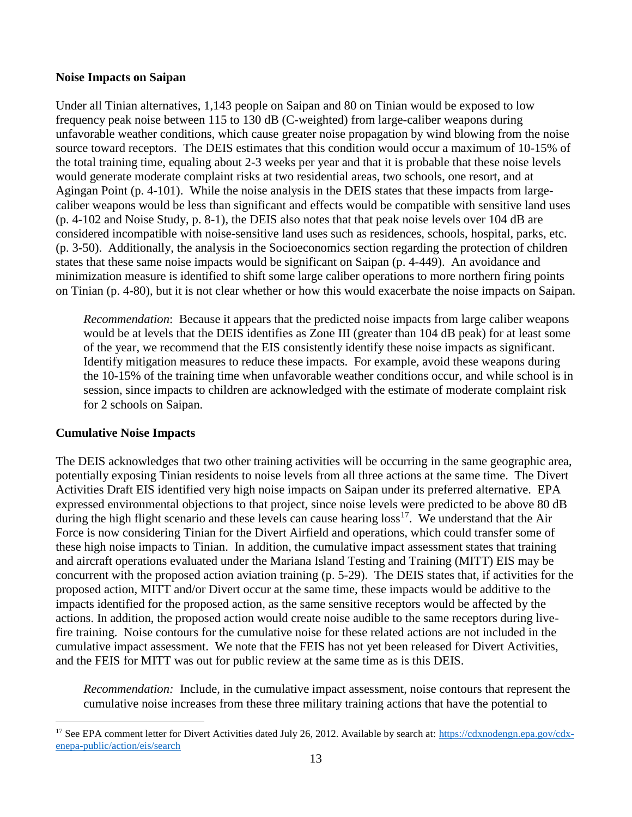#### **Noise Impacts on Saipan**

Under all Tinian alternatives, 1,143 people on Saipan and 80 on Tinian would be exposed to low frequency peak noise between 115 to 130 dB (C-weighted) from large-caliber weapons during unfavorable weather conditions, which cause greater noise propagation by wind blowing from the noise source toward receptors. The DEIS estimates that this condition would occur a maximum of 10-15% of the total training time, equaling about 2-3 weeks per year and that it is probable that these noise levels would generate moderate complaint risks at two residential areas, two schools, one resort, and at Agingan Point (p. 4-101). While the noise analysis in the DEIS states that these impacts from largecaliber weapons would be less than significant and effects would be compatible with sensitive land uses (p. 4-102 and Noise Study, p. 8-1), the DEIS also notes that that peak noise levels over 104 dB are considered incompatible with noise-sensitive land uses such as residences, schools, hospital, parks, etc. (p. 3-50). Additionally, the analysis in the Socioeconomics section regarding the protection of children states that these same noise impacts would be significant on Saipan (p. 4-449). An avoidance and minimization measure is identified to shift some large caliber operations to more northern firing points on Tinian (p. 4-80), but it is not clear whether or how this would exacerbate the noise impacts on Saipan.

*Recommendation*: Because it appears that the predicted noise impacts from large caliber weapons would be at levels that the DEIS identifies as Zone III (greater than 104 dB peak) for at least some of the year, we recommend that the EIS consistently identify these noise impacts as significant. Identify mitigation measures to reduce these impacts. For example, avoid these weapons during the 10-15% of the training time when unfavorable weather conditions occur, and while school is in session, since impacts to children are acknowledged with the estimate of moderate complaint risk for 2 schools on Saipan.

## **Cumulative Noise Impacts**

 $\overline{a}$ 

The DEIS acknowledges that two other training activities will be occurring in the same geographic area, potentially exposing Tinian residents to noise levels from all three actions at the same time. The Divert Activities Draft EIS identified very high noise impacts on Saipan under its preferred alternative. EPA expressed environmental objections to that project, since noise levels were predicted to be above 80 dB during the high flight scenario and these levels can cause hearing  $\cos^{17}$ . We understand that the Air Force is now considering Tinian for the Divert Airfield and operations, which could transfer some of these high noise impacts to Tinian. In addition, the cumulative impact assessment states that training and aircraft operations evaluated under the Mariana Island Testing and Training (MITT) EIS may be concurrent with the proposed action aviation training (p. 5-29). The DEIS states that, if activities for the proposed action, MITT and/or Divert occur at the same time, these impacts would be additive to the impacts identified for the proposed action, as the same sensitive receptors would be affected by the actions. In addition, the proposed action would create noise audible to the same receptors during livefire training. Noise contours for the cumulative noise for these related actions are not included in the cumulative impact assessment. We note that the FEIS has not yet been released for Divert Activities, and the FEIS for MITT was out for public review at the same time as is this DEIS.

*Recommendation:* Include, in the cumulative impact assessment, noise contours that represent the cumulative noise increases from these three military training actions that have the potential to

<sup>&</sup>lt;sup>17</sup> See EPA comment letter for Divert Activities dated July 26, 2012. Available by search at: [https://cdxnodengn.epa.gov/cdx](https://cdxnodengn.epa.gov/cdx-enepa-public/action/eis/search)[enepa-public/action/eis/search](https://cdxnodengn.epa.gov/cdx-enepa-public/action/eis/search)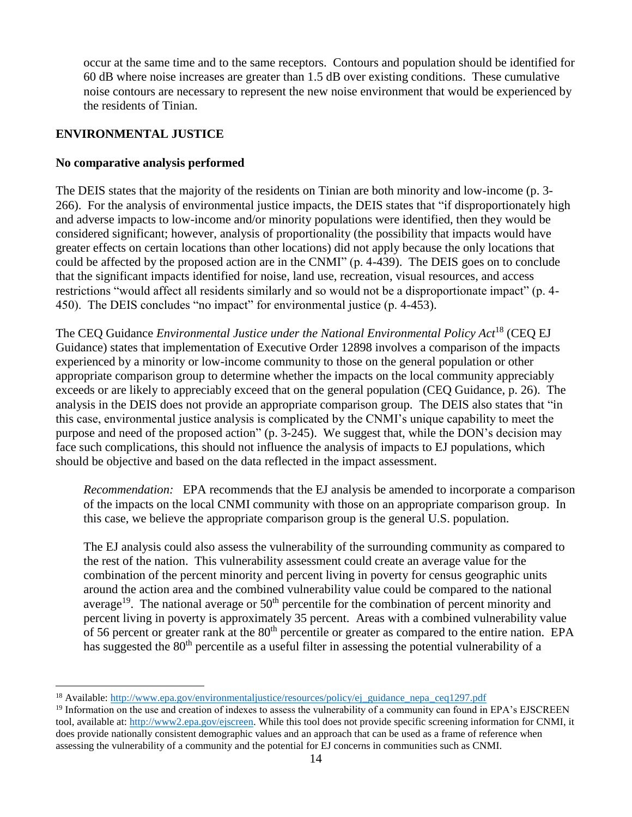occur at the same time and to the same receptors. Contours and population should be identified for 60 dB where noise increases are greater than 1.5 dB over existing conditions. These cumulative noise contours are necessary to represent the new noise environment that would be experienced by the residents of Tinian.

## **ENVIRONMENTAL JUSTICE**

 $\overline{a}$ 

## **No comparative analysis performed**

The DEIS states that the majority of the residents on Tinian are both minority and low-income (p. 3- 266). For the analysis of environmental justice impacts, the DEIS states that "if disproportionately high and adverse impacts to low-income and/or minority populations were identified, then they would be considered significant; however, analysis of proportionality (the possibility that impacts would have greater effects on certain locations than other locations) did not apply because the only locations that could be affected by the proposed action are in the CNMI" (p. 4-439). The DEIS goes on to conclude that the significant impacts identified for noise, land use, recreation, visual resources, and access restrictions "would affect all residents similarly and so would not be a disproportionate impact" (p. 4- 450). The DEIS concludes "no impact" for environmental justice (p. 4-453).

The CEQ Guidance *Environmental Justice under the National Environmental Policy Act*<sup>18</sup> (CEQ EJ Guidance) states that implementation of Executive Order 12898 involves a comparison of the impacts experienced by a minority or low-income community to those on the general population or other appropriate comparison group to determine whether the impacts on the local community appreciably exceeds or are likely to appreciably exceed that on the general population (CEQ Guidance, p. 26). The analysis in the DEIS does not provide an appropriate comparison group. The DEIS also states that "in this case, environmental justice analysis is complicated by the CNMI's unique capability to meet the purpose and need of the proposed action" (p. 3-245). We suggest that, while the DON's decision may face such complications, this should not influence the analysis of impacts to EJ populations, which should be objective and based on the data reflected in the impact assessment.

*Recommendation:* EPA recommends that the EJ analysis be amended to incorporate a comparison of the impacts on the local CNMI community with those on an appropriate comparison group. In this case, we believe the appropriate comparison group is the general U.S. population.

The EJ analysis could also assess the vulnerability of the surrounding community as compared to the rest of the nation. This vulnerability assessment could create an average value for the combination of the percent minority and percent living in poverty for census geographic units around the action area and the combined vulnerability value could be compared to the national average<sup>19</sup>. The national average or  $50<sup>th</sup>$  percentile for the combination of percent minority and percent living in poverty is approximately 35 percent. Areas with a combined vulnerability value of 56 percent or greater rank at the 80<sup>th</sup> percentile or greater as compared to the entire nation. EPA has suggested the 80<sup>th</sup> percentile as a useful filter in assessing the potential vulnerability of a

<sup>&</sup>lt;sup>18</sup> Available: [http://www.epa.gov/environmentaljustice/resources/policy/ej\\_guidance\\_nepa\\_ceq1297.pdf](http://www.epa.gov/environmentaljustice/resources/policy/ej_guidance_nepa_ceq1297.pdf)

<sup>&</sup>lt;sup>19</sup> Information on the use and creation of indexes to assess the vulnerability of a community can found in EPA's EJSCREEN tool, available at[: http://www2.epa.gov/ejscreen.](http://www2.epa.gov/ejscreen) While this tool does not provide specific screening information for CNMI, it does provide nationally consistent demographic values and an approach that can be used as a frame of reference when assessing the vulnerability of a community and the potential for EJ concerns in communities such as CNMI.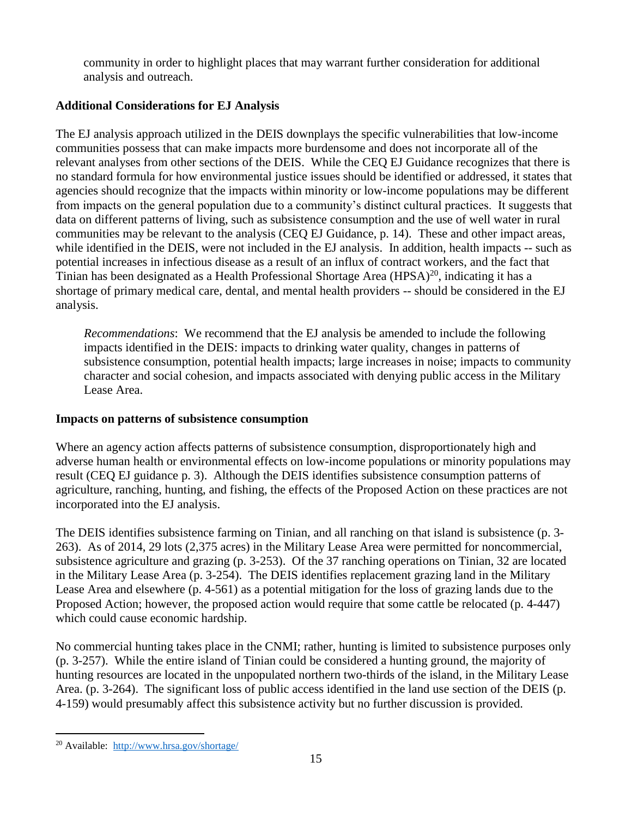community in order to highlight places that may warrant further consideration for additional analysis and outreach.

# **Additional Considerations for EJ Analysis**

The EJ analysis approach utilized in the DEIS downplays the specific vulnerabilities that low-income communities possess that can make impacts more burdensome and does not incorporate all of the relevant analyses from other sections of the DEIS. While the CEQ EJ Guidance recognizes that there is no standard formula for how environmental justice issues should be identified or addressed, it states that agencies should recognize that the impacts within minority or low-income populations may be different from impacts on the general population due to a community's distinct cultural practices. It suggests that data on different patterns of living, such as subsistence consumption and the use of well water in rural communities may be relevant to the analysis (CEQ EJ Guidance, p. 14). These and other impact areas, while identified in the DEIS, were not included in the EJ analysis. In addition, health impacts -- such as potential increases in infectious disease as a result of an influx of contract workers, and the fact that Tinian has been designated as a Health Professional Shortage Area (HPSA)<sup>20</sup>, indicating it has a shortage of primary medical care, dental, and mental health providers -- should be considered in the EJ analysis.

*Recommendations*: We recommend that the EJ analysis be amended to include the following impacts identified in the DEIS: impacts to drinking water quality, changes in patterns of subsistence consumption, potential health impacts; large increases in noise; impacts to community character and social cohesion, and impacts associated with denying public access in the Military Lease Area.

# **Impacts on patterns of subsistence consumption**

Where an agency action affects patterns of subsistence consumption, disproportionately high and adverse human health or environmental effects on low-income populations or minority populations may result (CEQ EJ guidance p. 3). Although the DEIS identifies subsistence consumption patterns of agriculture, ranching, hunting, and fishing, the effects of the Proposed Action on these practices are not incorporated into the EJ analysis.

The DEIS identifies subsistence farming on Tinian, and all ranching on that island is subsistence (p. 3- 263). As of 2014, 29 lots (2,375 acres) in the Military Lease Area were permitted for noncommercial, subsistence agriculture and grazing (p. 3-253). Of the 37 ranching operations on Tinian, 32 are located in the Military Lease Area (p. 3-254). The DEIS identifies replacement grazing land in the Military Lease Area and elsewhere (p. 4-561) as a potential mitigation for the loss of grazing lands due to the Proposed Action; however, the proposed action would require that some cattle be relocated (p. 4-447) which could cause economic hardship.

No commercial hunting takes place in the CNMI; rather, hunting is limited to subsistence purposes only (p. 3-257). While the entire island of Tinian could be considered a hunting ground, the majority of hunting resources are located in the unpopulated northern two-thirds of the island, in the Military Lease Area. (p. 3-264). The significant loss of public access identified in the land use section of the DEIS (p. 4-159) would presumably affect this subsistence activity but no further discussion is provided.

 $\overline{a}$ <sup>20</sup> Available:<http://www.hrsa.gov/shortage/>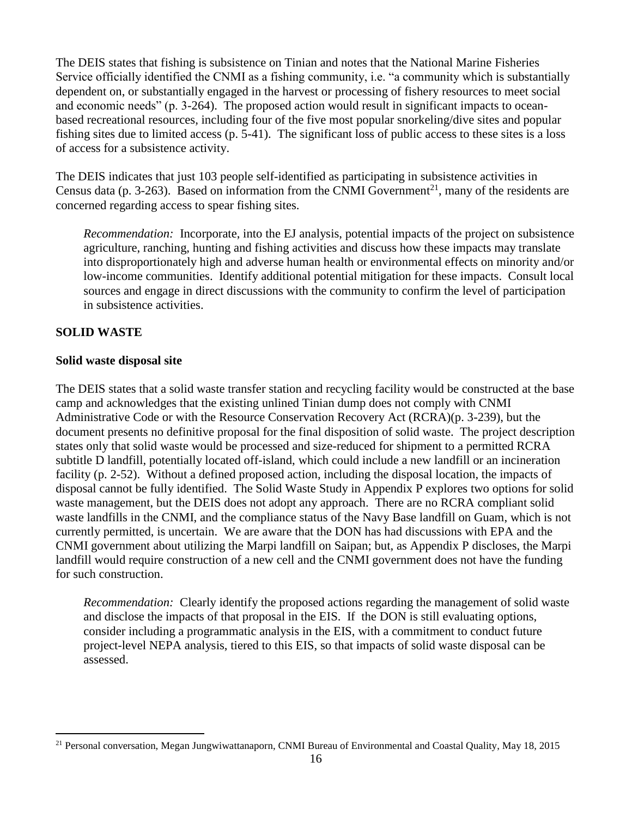The DEIS states that fishing is subsistence on Tinian and notes that the National Marine Fisheries Service officially identified the CNMI as a fishing community, i.e. "a community which is substantially dependent on, or substantially engaged in the harvest or processing of fishery resources to meet social and economic needs" (p. 3-264). The proposed action would result in significant impacts to oceanbased recreational resources, including four of the five most popular snorkeling/dive sites and popular fishing sites due to limited access (p. 5-41). The significant loss of public access to these sites is a loss of access for a subsistence activity.

The DEIS indicates that just 103 people self-identified as participating in subsistence activities in Census data (p. 3-263). Based on information from the CNMI Government<sup>21</sup>, many of the residents are concerned regarding access to spear fishing sites.

*Recommendation:* Incorporate, into the EJ analysis, potential impacts of the project on subsistence agriculture, ranching, hunting and fishing activities and discuss how these impacts may translate into disproportionately high and adverse human health or environmental effects on minority and/or low-income communities. Identify additional potential mitigation for these impacts. Consult local sources and engage in direct discussions with the community to confirm the level of participation in subsistence activities.

## **SOLID WASTE**

 $\overline{a}$ 

#### **Solid waste disposal site**

The DEIS states that a solid waste transfer station and recycling facility would be constructed at the base camp and acknowledges that the existing unlined Tinian dump does not comply with CNMI Administrative Code or with the Resource Conservation Recovery Act (RCRA)(p. 3-239), but the document presents no definitive proposal for the final disposition of solid waste. The project description states only that solid waste would be processed and size-reduced for shipment to a permitted RCRA subtitle D landfill, potentially located off-island, which could include a new landfill or an incineration facility (p. 2-52). Without a defined proposed action, including the disposal location, the impacts of disposal cannot be fully identified. The Solid Waste Study in Appendix P explores two options for solid waste management, but the DEIS does not adopt any approach. There are no RCRA compliant solid waste landfills in the CNMI, and the compliance status of the Navy Base landfill on Guam, which is not currently permitted, is uncertain. We are aware that the DON has had discussions with EPA and the CNMI government about utilizing the Marpi landfill on Saipan; but, as Appendix P discloses, the Marpi landfill would require construction of a new cell and the CNMI government does not have the funding for such construction.

*Recommendation:* Clearly identify the proposed actions regarding the management of solid waste and disclose the impacts of that proposal in the EIS. If the DON is still evaluating options, consider including a programmatic analysis in the EIS, with a commitment to conduct future project-level NEPA analysis, tiered to this EIS, so that impacts of solid waste disposal can be assessed.

<sup>&</sup>lt;sup>21</sup> Personal conversation, Megan Jungwiwattanaporn, CNMI Bureau of Environmental and Coastal Quality, May 18, 2015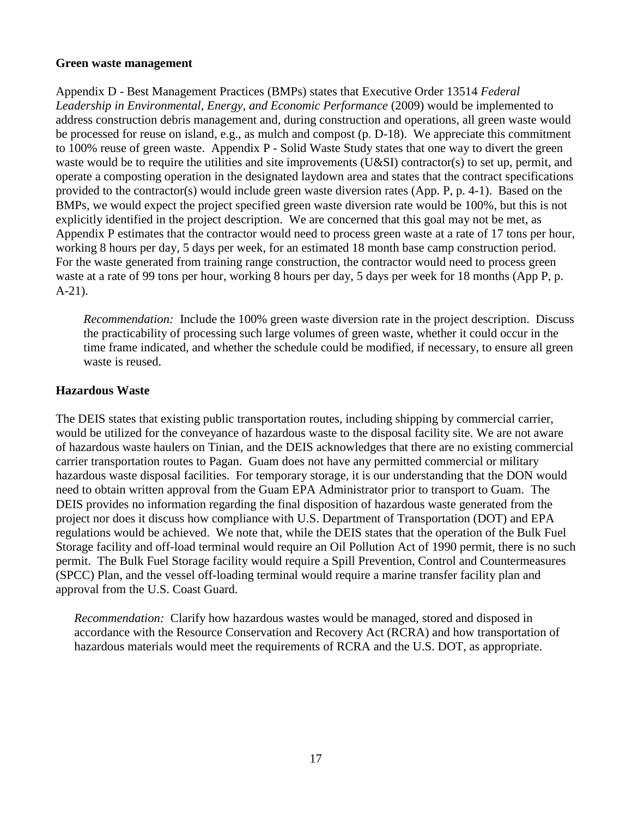#### **Green waste management**

Appendix D - Best Management Practices (BMPs) states that Executive Order 13514 *Federal Leadership in Environmental, Energy, and Economic Performance* (2009) would be implemented to address construction debris management and, during construction and operations, all green waste would be processed for reuse on island, e.g., as mulch and compost (p. D-18). We appreciate this commitment to 100% reuse of green waste. Appendix P - Solid Waste Study states that one way to divert the green waste would be to require the utilities and site improvements (U&SI) contractor(s) to set up, permit, and operate a composting operation in the designated laydown area and states that the contract specifications provided to the contractor(s) would include green waste diversion rates (App. P, p. 4-1). Based on the BMPs, we would expect the project specified green waste diversion rate would be 100%, but this is not explicitly identified in the project description. We are concerned that this goal may not be met, as Appendix P estimates that the contractor would need to process green waste at a rate of 17 tons per hour, working 8 hours per day, 5 days per week, for an estimated 18 month base camp construction period. For the waste generated from training range construction, the contractor would need to process green waste at a rate of 99 tons per hour, working 8 hours per day, 5 days per week for 18 months (App P, p. A-21).

*Recommendation:* Include the 100% green waste diversion rate in the project description. Discuss the practicability of processing such large volumes of green waste, whether it could occur in the time frame indicated, and whether the schedule could be modified, if necessary, to ensure all green waste is reused.

## **Hazardous Waste**

The DEIS states that existing public transportation routes, including shipping by commercial carrier, would be utilized for the conveyance of hazardous waste to the disposal facility site. We are not aware of hazardous waste haulers on Tinian, and the DEIS acknowledges that there are no existing commercial carrier transportation routes to Pagan. Guam does not have any permitted commercial or military hazardous waste disposal facilities. For temporary storage, it is our understanding that the DON would need to obtain written approval from the Guam EPA Administrator prior to transport to Guam. The DEIS provides no information regarding the final disposition of hazardous waste generated from the project nor does it discuss how compliance with U.S. Department of Transportation (DOT) and EPA regulations would be achieved. We note that, while the DEIS states that the operation of the Bulk Fuel Storage facility and off-load terminal would require an Oil Pollution Act of 1990 permit, there is no such permit. The Bulk Fuel Storage facility would require a Spill Prevention, Control and Countermeasures (SPCC) Plan, and the vessel off-loading terminal would require a marine transfer facility plan and approval from the U.S. Coast Guard.

*Recommendation:* Clarify how hazardous wastes would be managed, stored and disposed in accordance with the Resource Conservation and Recovery Act (RCRA) and how transportation of hazardous materials would meet the requirements of RCRA and the U.S. DOT, as appropriate.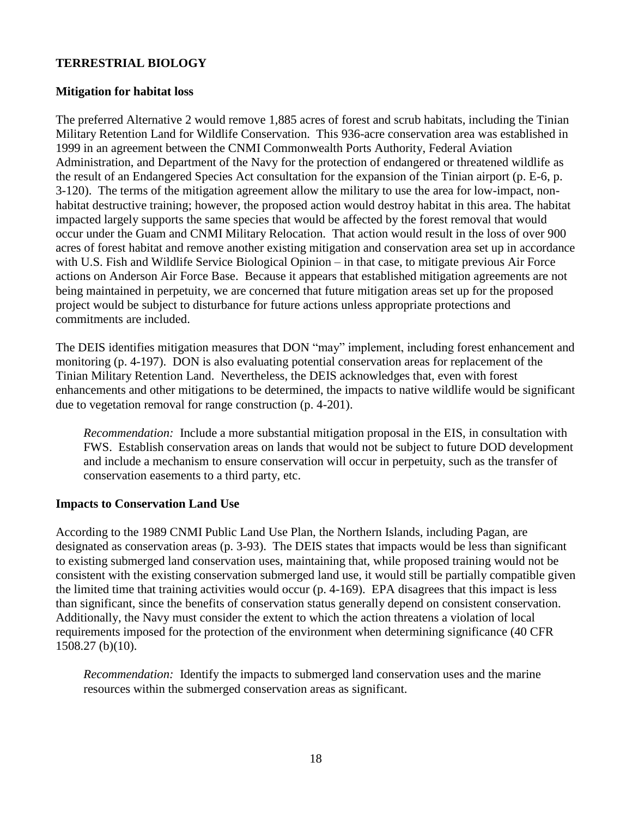## **TERRESTRIAL BIOLOGY**

#### **Mitigation for habitat loss**

The preferred Alternative 2 would remove 1,885 acres of forest and scrub habitats, including the Tinian Military Retention Land for Wildlife Conservation. This 936-acre conservation area was established in 1999 in an agreement between the CNMI Commonwealth Ports Authority, Federal Aviation Administration, and Department of the Navy for the protection of endangered or threatened wildlife as the result of an Endangered Species Act consultation for the expansion of the Tinian airport (p. E-6, p. 3-120). The terms of the mitigation agreement allow the military to use the area for low-impact, nonhabitat destructive training; however, the proposed action would destroy habitat in this area. The habitat impacted largely supports the same species that would be affected by the forest removal that would occur under the Guam and CNMI Military Relocation. That action would result in the loss of over 900 acres of forest habitat and remove another existing mitigation and conservation area set up in accordance with U.S. Fish and Wildlife Service Biological Opinion – in that case, to mitigate previous Air Force actions on Anderson Air Force Base. Because it appears that established mitigation agreements are not being maintained in perpetuity, we are concerned that future mitigation areas set up for the proposed project would be subject to disturbance for future actions unless appropriate protections and commitments are included.

The DEIS identifies mitigation measures that DON "may" implement, including forest enhancement and monitoring (p. 4-197). DON is also evaluating potential conservation areas for replacement of the Tinian Military Retention Land. Nevertheless, the DEIS acknowledges that, even with forest enhancements and other mitigations to be determined, the impacts to native wildlife would be significant due to vegetation removal for range construction (p. 4-201).

*Recommendation:* Include a more substantial mitigation proposal in the EIS, in consultation with FWS. Establish conservation areas on lands that would not be subject to future DOD development and include a mechanism to ensure conservation will occur in perpetuity, such as the transfer of conservation easements to a third party, etc.

#### **Impacts to Conservation Land Use**

According to the 1989 CNMI Public Land Use Plan, the Northern Islands, including Pagan, are designated as conservation areas (p. 3-93). The DEIS states that impacts would be less than significant to existing submerged land conservation uses, maintaining that, while proposed training would not be consistent with the existing conservation submerged land use, it would still be partially compatible given the limited time that training activities would occur (p. 4-169). EPA disagrees that this impact is less than significant, since the benefits of conservation status generally depend on consistent conservation. Additionally, the Navy must consider the extent to which the action threatens a violation of local requirements imposed for the protection of the environment when determining significance (40 CFR 1508.27 (b)(10).

*Recommendation:* Identify the impacts to submerged land conservation uses and the marine resources within the submerged conservation areas as significant.